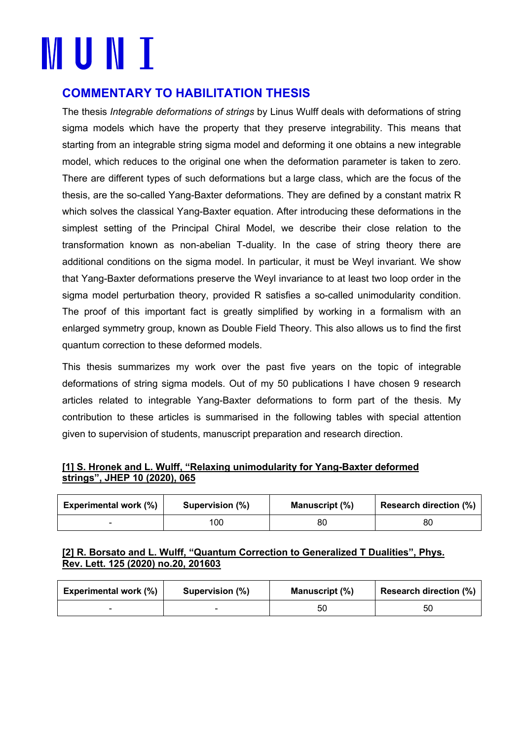# **MUNI**

## **COMMENTARY TO HABILITATION THESIS**

The thesis *Integrable deformations of strings* by Linus Wulff deals with deformations of string sigma models which have the property that they preserve integrability. This means that starting from an integrable string sigma model and deforming it one obtains a new integrable model, which reduces to the original one when the deformation parameter is taken to zero. There are different types of such deformations but a large class, which are the focus of the thesis, are the so-called Yang-Baxter deformations. They are defined by a constant matrix R which solves the classical Yang-Baxter equation. After introducing these deformations in the simplest setting of the Principal Chiral Model, we describe their close relation to the transformation known as non-abelian T-duality. In the case of string theory there are additional conditions on the sigma model. In particular, it must be Weyl invariant. We show that Yang-Baxter deformations preserve the Weyl invariance to at least two loop order in the sigma model perturbation theory, provided R satisfies a so-called unimodularity condition. The proof of this important fact is greatly simplified by working in a formalism with an enlarged symmetry group, known as Double Field Theory. This also allows us to find the first quantum correction to these deformed models.

This thesis summarizes my work over the past five years on the topic of integrable deformations of string sigma models. Out of my 50 publications I have chosen 9 research articles related to integrable Yang-Baxter deformations to form part of the thesis. My contribution to these articles is summarised in the following tables with special attention given to supervision of students, manuscript preparation and research direction.

### **[1] S. Hronek and L. Wulff, "Relaxing unimodularity for Yang-Baxter deformed strings", JHEP 10 (2020), 065**

| <b>Experimental work (%)</b> | Supervision (%) | Manuscript (%) | <b>Research direction (%)</b> |
|------------------------------|-----------------|----------------|-------------------------------|
|                              | 100             | 80             | 80                            |

### **[2] R. Borsato and L. Wulff, "Quantum Correction to Generalized T Dualities", Phys. Rev. Lett. 125 (2020) no.20, 201603**

| <b>Experimental work (%)</b> | Supervision (%) | Manuscript (%) | <b>Research direction (%)</b> |
|------------------------------|-----------------|----------------|-------------------------------|
|                              |                 | 50             | 50                            |